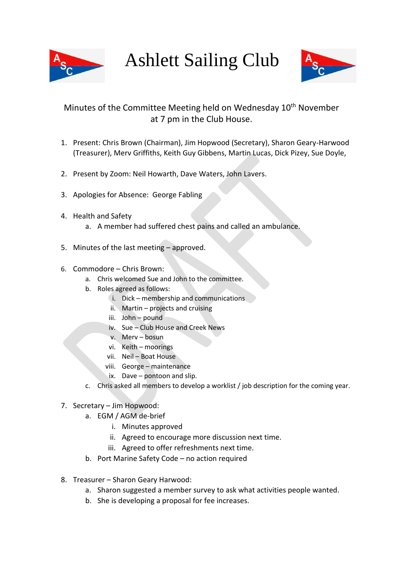

Ashlett Sailing Club



## Minutes of the Committee Meeting held on Wednesday 10<sup>th</sup> November at 7 pm in the Club House.

- 1. Present: Chris Brown (Chairman), Jim Hopwood (Secretary), Sharon Geary-Harwood (Treasurer), Merv Griffiths, Keith Guy Gibbens, Martin Lucas, Dick Pizey, Sue Doyle,
- 2. Present by Zoom: Neil Howarth, Dave Waters, John Lavers.
- 3. Apologies for Absence: George Fabling
- 4. Health and Safety
	- a. A member had suffered chest pains and called an ambulance.
- 5. Minutes of the last meeting approved.
- 6. Commodore Chris Brown:
	- a. Chris welcomed Sue and John to the committee.
	- b. Roles agreed as follows:
		- i. Dick membership and communications
		- ii. Martin projects and cruising
		- iii. John pound
		- iv. Sue Club House and Creek News
		- v. Merv bosun
		- vi. Keith moorings
		- vii. Neil Boat House
		- viii. George maintenance
		- ix. Dave pontoon and slip.
	- c. Chris asked all members to develop a worklist / job description for the coming year.

## 7. Secretary – Jim Hopwood:

- a. EGM / AGM de-brief
	- i. Minutes approved
	- ii. Agreed to encourage more discussion next time.
	- iii. Agreed to offer refreshments next time.
- b. Port Marine Safety Code no action required
- 8. Treasurer Sharon Geary Harwood:
	- a. Sharon suggested a member survey to ask what activities people wanted.
	- b. She is developing a proposal for fee increases.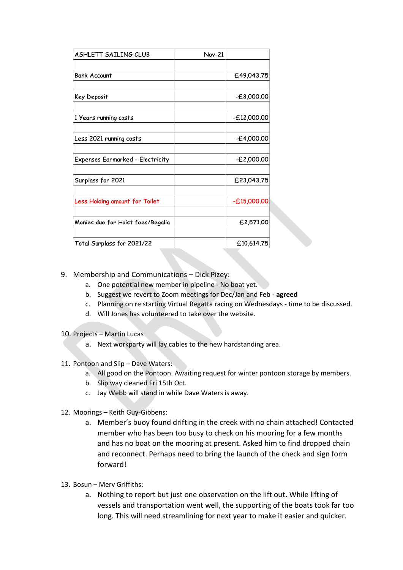| ASHLETT SAILING CLUB              | <b>Nov-21</b> |               |
|-----------------------------------|---------------|---------------|
|                                   |               |               |
| <b>Bank Account</b>               |               | £49,043.75    |
|                                   |               |               |
| Key Deposit                       |               | $-£8,000.00$  |
|                                   |               |               |
| 1 Years running costs             |               | $-£12,000.00$ |
| Less 2021 running costs           |               | $-£4,000.00$  |
| Expenses Earmarked - Electricity  |               | -£2,000.00    |
|                                   |               |               |
| Surplass for 2021                 |               | £23,043.75    |
| Less Holding amount for Toilet    |               | $-£15,000.00$ |
|                                   |               |               |
| Monies due for Hoist fees/Regalia |               | £2,571.00     |
| Total Surplass for 2021/22        |               | £10,614.75    |

- 9. Membership and Communications Dick Pizey:
	- a. One potential new member in pipeline No boat yet.
	- b. Suggest we revert to Zoom meetings for Dec/Jan and Feb **agreed**
	- c. Planning on re starting Virtual Regatta racing on Wednesdays time to be discussed.
	- d. Will Jones has volunteered to take over the website.
- 10. Projects Martin Lucas
	- a. Next workparty will lay cables to the new hardstanding area.
- 11. Pontoon and Slip Dave Waters:
	- a. All good on the Pontoon. Awaiting request for winter pontoon storage by members.
	- b. Slip way cleaned Fri 15th Oct.
	- c. Jay Webb will stand in while Dave Waters is away.
- 12. Moorings Keith Guy-Gibbens:
	- a. Member's buoy found drifting in the creek with no chain attached! Contacted member who has been too busy to check on his mooring for a few months and has no boat on the mooring at present. Asked him to find dropped chain and reconnect. Perhaps need to bring the launch of the check and sign form forward!
- 13. Bosun Merv Griffiths:
	- a. Nothing to report but just one observation on the lift out. While lifting of vessels and transportation went well, the supporting of the boats took far too long. This will need streamlining for next year to make it easier and quicker.